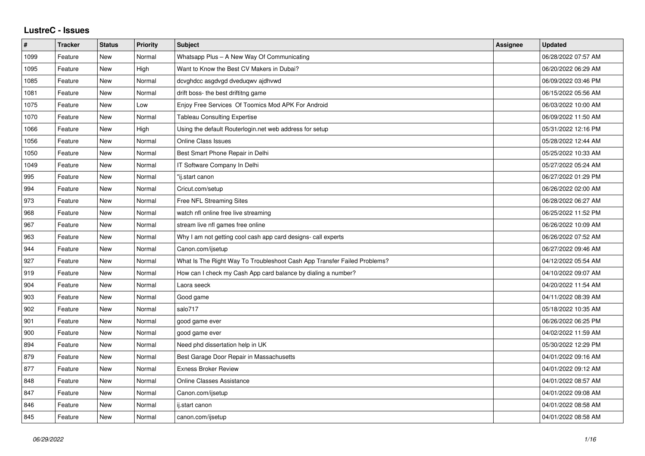## **LustreC - Issues**

| $\#$ | <b>Tracker</b> | <b>Status</b> | <b>Priority</b> | <b>Subject</b>                                                           | Assignee | <b>Updated</b>      |
|------|----------------|---------------|-----------------|--------------------------------------------------------------------------|----------|---------------------|
| 1099 | Feature        | New           | Normal          | Whatsapp Plus - A New Way Of Communicating                               |          | 06/28/2022 07:57 AM |
| 1095 | Feature        | <b>New</b>    | High            | Want to Know the Best CV Makers in Dubai?                                |          | 06/20/2022 06:29 AM |
| 1085 | Feature        | New           | Normal          | dcvghdcc asgdvgd dveduqwv ajdhvwd                                        |          | 06/09/2022 03:46 PM |
| 1081 | Feature        | <b>New</b>    | Normal          | drift boss- the best driftitng game                                      |          | 06/15/2022 05:56 AM |
| 1075 | Feature        | New           | Low             | Enjoy Free Services Of Toomics Mod APK For Android                       |          | 06/03/2022 10:00 AM |
| 1070 | Feature        | New           | Normal          | <b>Tableau Consulting Expertise</b>                                      |          | 06/09/2022 11:50 AM |
| 1066 | Feature        | New           | High            | Using the default Routerlogin.net web address for setup                  |          | 05/31/2022 12:16 PM |
| 1056 | Feature        | <b>New</b>    | Normal          | <b>Online Class Issues</b>                                               |          | 05/28/2022 12:44 AM |
| 1050 | Feature        | New           | Normal          | Best Smart Phone Repair in Delhi                                         |          | 05/25/2022 10:33 AM |
| 1049 | Feature        | <b>New</b>    | Normal          | IT Software Company In Delhi                                             |          | 05/27/2022 05:24 AM |
| 995  | Feature        | <b>New</b>    | Normal          | "ij.start canon                                                          |          | 06/27/2022 01:29 PM |
| 994  | Feature        | New           | Normal          | Cricut.com/setup                                                         |          | 06/26/2022 02:00 AM |
| 973  | Feature        | <b>New</b>    | Normal          | Free NFL Streaming Sites                                                 |          | 06/28/2022 06:27 AM |
| 968  | Feature        | <b>New</b>    | Normal          | watch nfl online free live streaming                                     |          | 06/25/2022 11:52 PM |
| 967  | Feature        | New           | Normal          | stream live nfl games free online                                        |          | 06/26/2022 10:09 AM |
| 963  | Feature        | <b>New</b>    | Normal          | Why I am not getting cool cash app card designs- call experts            |          | 06/26/2022 07:52 AM |
| 944  | Feature        | New           | Normal          | Canon.com/ijsetup                                                        |          | 06/27/2022 09:46 AM |
| 927  | Feature        | New           | Normal          | What Is The Right Way To Troubleshoot Cash App Transfer Failed Problems? |          | 04/12/2022 05:54 AM |
| 919  | Feature        | <b>New</b>    | Normal          | How can I check my Cash App card balance by dialing a number?            |          | 04/10/2022 09:07 AM |
| 904  | Feature        | New           | Normal          | Laora seeck                                                              |          | 04/20/2022 11:54 AM |
| 903  | Feature        | New           | Normal          | Good game                                                                |          | 04/11/2022 08:39 AM |
| 902  | Feature        | <b>New</b>    | Normal          | salo717                                                                  |          | 05/18/2022 10:35 AM |
| 901  | Feature        | New           | Normal          | good game ever                                                           |          | 06/26/2022 06:25 PM |
| 900  | Feature        | <b>New</b>    | Normal          | good game ever                                                           |          | 04/02/2022 11:59 AM |
| 894  | Feature        | <b>New</b>    | Normal          | Need phd dissertation help in UK                                         |          | 05/30/2022 12:29 PM |
| 879  | Feature        | New           | Normal          | Best Garage Door Repair in Massachusetts                                 |          | 04/01/2022 09:16 AM |
| 877  | Feature        | <b>New</b>    | Normal          | <b>Exness Broker Review</b>                                              |          | 04/01/2022 09:12 AM |
| 848  | Feature        | New           | Normal          | Online Classes Assistance                                                |          | 04/01/2022 08:57 AM |
| 847  | Feature        | New           | Normal          | Canon.com/ijsetup                                                        |          | 04/01/2022 09:08 AM |
| 846  | Feature        | New           | Normal          | ij.start canon                                                           |          | 04/01/2022 08:58 AM |
| 845  | Feature        | <b>New</b>    | Normal          | canon.com/ijsetup                                                        |          | 04/01/2022 08:58 AM |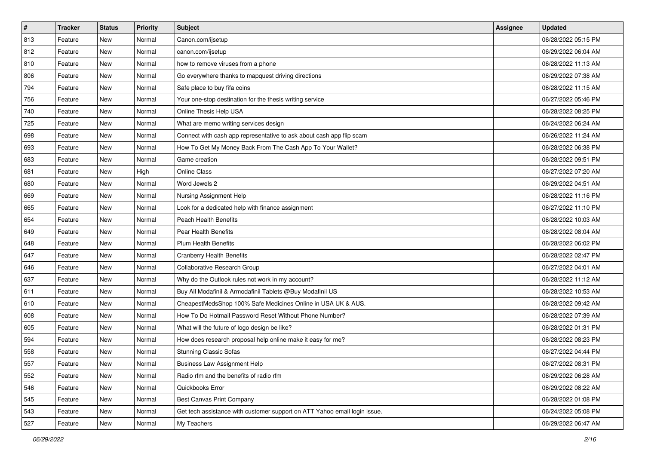| $\sharp$ | <b>Tracker</b> | <b>Status</b> | Priority | Subject                                                                   | Assignee | <b>Updated</b>      |
|----------|----------------|---------------|----------|---------------------------------------------------------------------------|----------|---------------------|
| 813      | Feature        | New           | Normal   | Canon.com/ijsetup                                                         |          | 06/28/2022 05:15 PM |
| 812      | Feature        | New           | Normal   | canon.com/ijsetup                                                         |          | 06/29/2022 06:04 AM |
| 810      | Feature        | New           | Normal   | how to remove viruses from a phone                                        |          | 06/28/2022 11:13 AM |
| 806      | Feature        | New           | Normal   | Go everywhere thanks to mapquest driving directions                       |          | 06/29/2022 07:38 AM |
| 794      | Feature        | New           | Normal   | Safe place to buy fifa coins                                              |          | 06/28/2022 11:15 AM |
| 756      | Feature        | New           | Normal   | Your one-stop destination for the thesis writing service                  |          | 06/27/2022 05:46 PM |
| 740      | Feature        | New           | Normal   | Online Thesis Help USA                                                    |          | 06/28/2022 08:25 PM |
| 725      | Feature        | New           | Normal   | What are memo writing services design                                     |          | 06/24/2022 06:24 AM |
| 698      | Feature        | New           | Normal   | Connect with cash app representative to ask about cash app flip scam      |          | 06/26/2022 11:24 AM |
| 693      | Feature        | New           | Normal   | How To Get My Money Back From The Cash App To Your Wallet?                |          | 06/28/2022 06:38 PM |
| 683      | Feature        | New           | Normal   | Game creation                                                             |          | 06/28/2022 09:51 PM |
| 681      | Feature        | New           | High     | <b>Online Class</b>                                                       |          | 06/27/2022 07:20 AM |
| 680      | Feature        | New           | Normal   | Word Jewels 2                                                             |          | 06/29/2022 04:51 AM |
| 669      | Feature        | New           | Normal   | Nursing Assignment Help                                                   |          | 06/28/2022 11:16 PM |
| 665      | Feature        | New           | Normal   | Look for a dedicated help with finance assignment                         |          | 06/27/2022 11:10 PM |
| 654      | Feature        | New           | Normal   | <b>Peach Health Benefits</b>                                              |          | 06/28/2022 10:03 AM |
| 649      | Feature        | New           | Normal   | Pear Health Benefits                                                      |          | 06/28/2022 08:04 AM |
| 648      | Feature        | New           | Normal   | <b>Plum Health Benefits</b>                                               |          | 06/28/2022 06:02 PM |
| 647      | Feature        | New           | Normal   | <b>Cranberry Health Benefits</b>                                          |          | 06/28/2022 02:47 PM |
| 646      | Feature        | New           | Normal   | Collaborative Research Group                                              |          | 06/27/2022 04:01 AM |
| 637      | Feature        | New           | Normal   | Why do the Outlook rules not work in my account?                          |          | 06/28/2022 11:12 AM |
| 611      | Feature        | New           | Normal   | Buy All Modafinil & Armodafinil Tablets @Buy Modafinil US                 |          | 06/28/2022 10:53 AM |
| 610      | Feature        | New           | Normal   | CheapestMedsShop 100% Safe Medicines Online in USA UK & AUS.              |          | 06/28/2022 09:42 AM |
| 608      | Feature        | New           | Normal   | How To Do Hotmail Password Reset Without Phone Number?                    |          | 06/28/2022 07:39 AM |
| 605      | Feature        | New           | Normal   | What will the future of logo design be like?                              |          | 06/28/2022 01:31 PM |
| 594      | Feature        | New           | Normal   | How does research proposal help online make it easy for me?               |          | 06/28/2022 08:23 PM |
| 558      | Feature        | New           | Normal   | <b>Stunning Classic Sofas</b>                                             |          | 06/27/2022 04:44 PM |
| 557      | Feature        | New           | Normal   | <b>Business Law Assignment Help</b>                                       |          | 06/27/2022 08:31 PM |
| 552      | Feature        | New           | Normal   | Radio rfm and the benefits of radio rfm                                   |          | 06/29/2022 06:28 AM |
| 546      | Feature        | New           | Normal   | Quickbooks Error                                                          |          | 06/29/2022 08:22 AM |
| 545      | Feature        | New           | Normal   | Best Canvas Print Company                                                 |          | 06/28/2022 01:08 PM |
| 543      | Feature        | New           | Normal   | Get tech assistance with customer support on ATT Yahoo email login issue. |          | 06/24/2022 05:08 PM |
| 527      | Feature        | New           | Normal   | My Teachers                                                               |          | 06/29/2022 06:47 AM |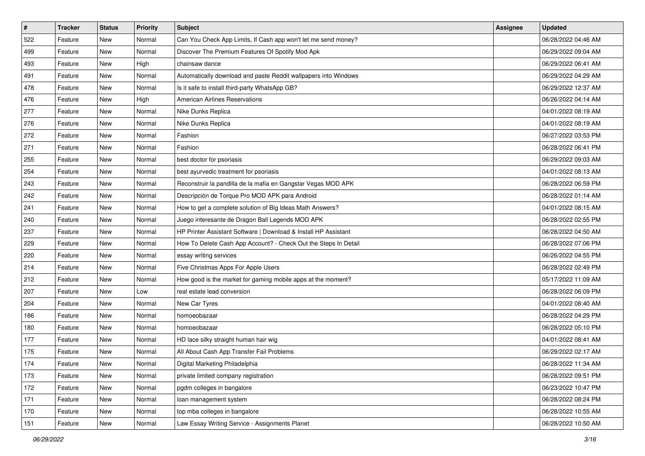| #   | <b>Tracker</b> | <b>Status</b> | <b>Priority</b> | Subject                                                         | <b>Assignee</b> | <b>Updated</b>      |
|-----|----------------|---------------|-----------------|-----------------------------------------------------------------|-----------------|---------------------|
| 522 | Feature        | New           | Normal          | Can You Check App Limits, If Cash app won't let me send money?  |                 | 06/28/2022 04:46 AM |
| 499 | Feature        | New           | Normal          | Discover The Premium Features Of Spotify Mod Apk                |                 | 06/29/2022 09:04 AM |
| 493 | Feature        | New           | High            | chainsaw dance                                                  |                 | 06/29/2022 06:41 AM |
| 491 | Feature        | New           | Normal          | Automatically download and paste Reddit wallpapers into Windows |                 | 06/29/2022 04:29 AM |
| 478 | Feature        | New           | Normal          | Is it safe to install third-party WhatsApp GB?                  |                 | 06/29/2022 12:37 AM |
| 476 | Feature        | New           | High            | <b>American Airlines Reservations</b>                           |                 | 06/26/2022 04:14 AM |
| 277 | Feature        | New           | Normal          | Nike Dunks Replica                                              |                 | 04/01/2022 08:19 AM |
| 276 | Feature        | New           | Normal          | Nike Dunks Replica                                              |                 | 04/01/2022 08:19 AM |
| 272 | Feature        | New           | Normal          | Fashion                                                         |                 | 06/27/2022 03:53 PM |
| 271 | Feature        | New           | Normal          | Fashion                                                         |                 | 06/28/2022 06:41 PM |
| 255 | Feature        | New           | Normal          | best doctor for psoriasis                                       |                 | 06/29/2022 09:03 AM |
| 254 | Feature        | New           | Normal          | best ayurvedic treatment for psoriasis                          |                 | 04/01/2022 08:13 AM |
| 243 | Feature        | New           | Normal          | Reconstruir la pandilla de la mafia en Gangstar Vegas MOD APK   |                 | 06/28/2022 06:59 PM |
| 242 | Feature        | New           | Normal          | Descripción de Torque Pro MOD APK para Android                  |                 | 06/28/2022 01:14 AM |
| 241 | Feature        | New           | Normal          | How to get a complete solution of Big Ideas Math Answers?       |                 | 04/01/2022 08:15 AM |
| 240 | Feature        | New           | Normal          | Juego interesante de Dragon Ball Legends MOD APK                |                 | 06/28/2022 02:55 PM |
| 237 | Feature        | New           | Normal          | HP Printer Assistant Software   Download & Install HP Assistant |                 | 06/28/2022 04:50 AM |
| 229 | Feature        | New           | Normal          | How To Delete Cash App Account? - Check Out the Steps In Detail |                 | 06/28/2022 07:06 PM |
| 220 | Feature        | New           | Normal          | essay writing services                                          |                 | 06/26/2022 04:55 PM |
| 214 | Feature        | New           | Normal          | Five Christmas Apps For Apple Users                             |                 | 06/28/2022 02:49 PM |
| 212 | Feature        | New           | Normal          | How good is the market for gaming mobile apps at the moment?    |                 | 05/17/2022 11:09 AM |
| 207 | Feature        | New           | Low             | real estate lead conversion                                     |                 | 06/28/2022 06:09 PM |
| 204 | Feature        | New           | Normal          | New Car Tyres                                                   |                 | 04/01/2022 08:40 AM |
| 186 | Feature        | New           | Normal          | homoeobazaar                                                    |                 | 06/28/2022 04:29 PM |
| 180 | Feature        | New           | Normal          | homoeobazaar                                                    |                 | 06/28/2022 05:10 PM |
| 177 | Feature        | New           | Normal          | HD lace silky straight human hair wig                           |                 | 04/01/2022 08:41 AM |
| 175 | Feature        | New           | Normal          | All About Cash App Transfer Fail Problems                       |                 | 06/29/2022 02:17 AM |
| 174 | Feature        | New           | Normal          | Digital Marketing Philadelphia                                  |                 | 06/28/2022 11:34 AM |
| 173 | Feature        | New           | Normal          | private limited company registration                            |                 | 06/28/2022 09:51 PM |
| 172 | Feature        | New           | Normal          | pgdm colleges in bangalore                                      |                 | 06/23/2022 10:47 PM |
| 171 | Feature        | New           | Normal          | loan management system                                          |                 | 06/28/2022 08:24 PM |
| 170 | Feature        | New           | Normal          | top mba colleges in bangalore                                   |                 | 06/28/2022 10:55 AM |
| 151 | Feature        | New           | Normal          | Law Essay Writing Service - Assignments Planet                  |                 | 06/28/2022 10:50 AM |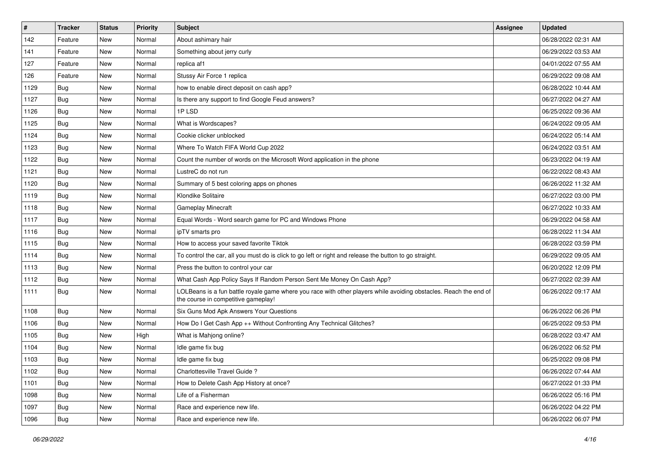| $\vert$ # | <b>Tracker</b> | <b>Status</b> | <b>Priority</b> | Subject                                                                                                                                                  | Assignee | <b>Updated</b>      |
|-----------|----------------|---------------|-----------------|----------------------------------------------------------------------------------------------------------------------------------------------------------|----------|---------------------|
| 142       | Feature        | New           | Normal          | About ashimary hair                                                                                                                                      |          | 06/28/2022 02:31 AM |
| 141       | Feature        | <b>New</b>    | Normal          | Something about jerry curly                                                                                                                              |          | 06/29/2022 03:53 AM |
| 127       | Feature        | New           | Normal          | replica af1                                                                                                                                              |          | 04/01/2022 07:55 AM |
| 126       | Feature        | New           | Normal          | Stussy Air Force 1 replica                                                                                                                               |          | 06/29/2022 09:08 AM |
| 1129      | Bug            | New           | Normal          | how to enable direct deposit on cash app?                                                                                                                |          | 06/28/2022 10:44 AM |
| 1127      | Bug            | New           | Normal          | Is there any support to find Google Feud answers?                                                                                                        |          | 06/27/2022 04:27 AM |
| 1126      | Bug            | New           | Normal          | 1PLSD                                                                                                                                                    |          | 06/25/2022 09:36 AM |
| 1125      | <b>Bug</b>     | New           | Normal          | What is Wordscapes?                                                                                                                                      |          | 06/24/2022 09:05 AM |
| 1124      | Bug            | New           | Normal          | Cookie clicker unblocked                                                                                                                                 |          | 06/24/2022 05:14 AM |
| 1123      | Bug            | New           | Normal          | Where To Watch FIFA World Cup 2022                                                                                                                       |          | 06/24/2022 03:51 AM |
| 1122      | Bug            | New           | Normal          | Count the number of words on the Microsoft Word application in the phone                                                                                 |          | 06/23/2022 04:19 AM |
| 1121      | Bug            | New           | Normal          | LustreC do not run                                                                                                                                       |          | 06/22/2022 08:43 AM |
| 1120      | Bug            | New           | Normal          | Summary of 5 best coloring apps on phones                                                                                                                |          | 06/26/2022 11:32 AM |
| 1119      | Bug            | New           | Normal          | Klondike Solitaire                                                                                                                                       |          | 06/27/2022 03:00 PM |
| 1118      | Bug            | New           | Normal          | Gameplay Minecraft                                                                                                                                       |          | 06/27/2022 10:33 AM |
| 1117      | Bug            | New           | Normal          | Equal Words - Word search game for PC and Windows Phone                                                                                                  |          | 06/29/2022 04:58 AM |
| 1116      | Bug            | New           | Normal          | ipTV smarts pro                                                                                                                                          |          | 06/28/2022 11:34 AM |
| 1115      | Bug            | New           | Normal          | How to access your saved favorite Tiktok                                                                                                                 |          | 06/28/2022 03:59 PM |
| 1114      | Bug            | New           | Normal          | To control the car, all you must do is click to go left or right and release the button to go straight.                                                  |          | 06/29/2022 09:05 AM |
| 1113      | Bug            | New           | Normal          | Press the button to control your car                                                                                                                     |          | 06/20/2022 12:09 PM |
| 1112      | Bug            | New           | Normal          | What Cash App Policy Says If Random Person Sent Me Money On Cash App?                                                                                    |          | 06/27/2022 02:39 AM |
| 1111      | <b>Bug</b>     | New           | Normal          | LOLBeans is a fun battle royale game where you race with other players while avoiding obstacles. Reach the end of<br>the course in competitive gameplay! |          | 06/26/2022 09:17 AM |
| 1108      | <b>Bug</b>     | New           | Normal          | Six Guns Mod Apk Answers Your Questions                                                                                                                  |          | 06/26/2022 06:26 PM |
| 1106      | <b>Bug</b>     | New           | Normal          | How Do I Get Cash App ++ Without Confronting Any Technical Glitches?                                                                                     |          | 06/25/2022 09:53 PM |
| 1105      | Bug            | New           | High            | What is Mahjong online?                                                                                                                                  |          | 06/28/2022 03:47 AM |
| 1104      | <b>Bug</b>     | New           | Normal          | Idle game fix bug                                                                                                                                        |          | 06/26/2022 06:52 PM |
| 1103      | <b>Bug</b>     | New           | Normal          | Idle game fix bug                                                                                                                                        |          | 06/25/2022 09:08 PM |
| 1102      | <b>Bug</b>     | New           | Normal          | Charlottesville Travel Guide ?                                                                                                                           |          | 06/26/2022 07:44 AM |
| 1101      | Bug            | New           | Normal          | How to Delete Cash App History at once?                                                                                                                  |          | 06/27/2022 01:33 PM |
| 1098      | <b>Bug</b>     | New           | Normal          | Life of a Fisherman                                                                                                                                      |          | 06/26/2022 05:16 PM |
| 1097      | Bug            | New           | Normal          | Race and experience new life.                                                                                                                            |          | 06/26/2022 04:22 PM |
| 1096      | Bug            | New           | Normal          | Race and experience new life.                                                                                                                            |          | 06/26/2022 06:07 PM |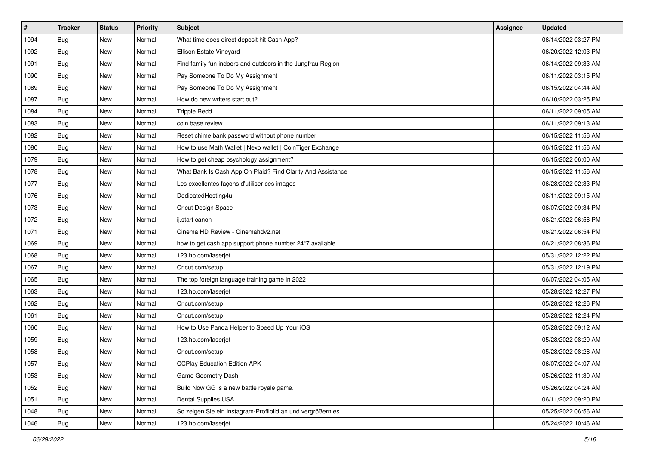| $\vert$ # | <b>Tracker</b> | <b>Status</b> | <b>Priority</b> | Subject                                                     | Assignee | <b>Updated</b>      |
|-----------|----------------|---------------|-----------------|-------------------------------------------------------------|----------|---------------------|
| 1094      | <b>Bug</b>     | New           | Normal          | What time does direct deposit hit Cash App?                 |          | 06/14/2022 03:27 PM |
| 1092      | <b>Bug</b>     | New           | Normal          | Ellison Estate Vineyard                                     |          | 06/20/2022 12:03 PM |
| 1091      | Bug            | New           | Normal          | Find family fun indoors and outdoors in the Jungfrau Region |          | 06/14/2022 09:33 AM |
| 1090      | <b>Bug</b>     | New           | Normal          | Pay Someone To Do My Assignment                             |          | 06/11/2022 03:15 PM |
| 1089      | Bug            | New           | Normal          | Pay Someone To Do My Assignment                             |          | 06/15/2022 04:44 AM |
| 1087      | <b>Bug</b>     | New           | Normal          | How do new writers start out?                               |          | 06/10/2022 03:25 PM |
| 1084      | Bug            | New           | Normal          | <b>Trippie Redd</b>                                         |          | 06/11/2022 09:05 AM |
| 1083      | <b>Bug</b>     | New           | Normal          | coin base review                                            |          | 06/11/2022 09:13 AM |
| 1082      | <b>Bug</b>     | New           | Normal          | Reset chime bank password without phone number              |          | 06/15/2022 11:56 AM |
| 1080      | Bug            | New           | Normal          | How to use Math Wallet   Nexo wallet   CoinTiger Exchange   |          | 06/15/2022 11:56 AM |
| 1079      | Bug            | New           | Normal          | How to get cheap psychology assignment?                     |          | 06/15/2022 06:00 AM |
| 1078      | <b>Bug</b>     | New           | Normal          | What Bank Is Cash App On Plaid? Find Clarity And Assistance |          | 06/15/2022 11:56 AM |
| 1077      | Bug            | New           | Normal          | Les excellentes façons d'utiliser ces images                |          | 06/28/2022 02:33 PM |
| 1076      | <b>Bug</b>     | New           | Normal          | DedicatedHosting4u                                          |          | 06/11/2022 09:15 AM |
| 1073      | Bug            | New           | Normal          | Cricut Design Space                                         |          | 06/07/2022 09:34 PM |
| 1072      | Bug            | New           | Normal          | ij.start canon                                              |          | 06/21/2022 06:56 PM |
| 1071      | <b>Bug</b>     | New           | Normal          | Cinema HD Review - Cinemahdv2.net                           |          | 06/21/2022 06:54 PM |
| 1069      | Bug            | New           | Normal          | how to get cash app support phone number 24*7 available     |          | 06/21/2022 08:36 PM |
| 1068      | <b>Bug</b>     | New           | Normal          | 123.hp.com/laserjet                                         |          | 05/31/2022 12:22 PM |
| 1067      | <b>Bug</b>     | New           | Normal          | Cricut.com/setup                                            |          | 05/31/2022 12:19 PM |
| 1065      | Bug            | New           | Normal          | The top foreign language training game in 2022              |          | 06/07/2022 04:05 AM |
| 1063      | <b>Bug</b>     | New           | Normal          | 123.hp.com/laserjet                                         |          | 05/28/2022 12:27 PM |
| 1062      | Bug            | New           | Normal          | Cricut.com/setup                                            |          | 05/28/2022 12:26 PM |
| 1061      | <b>Bug</b>     | New           | Normal          | Cricut.com/setup                                            |          | 05/28/2022 12:24 PM |
| 1060      | <b>Bug</b>     | New           | Normal          | How to Use Panda Helper to Speed Up Your iOS                |          | 05/28/2022 09:12 AM |
| 1059      | Bug            | New           | Normal          | 123.hp.com/laserjet                                         |          | 05/28/2022 08:29 AM |
| 1058      | <b>Bug</b>     | New           | Normal          | Cricut.com/setup                                            |          | 05/28/2022 08:28 AM |
| 1057      | Bug            | New           | Normal          | <b>CCPlay Education Edition APK</b>                         |          | 06/07/2022 04:07 AM |
| 1053      | Bug            | New           | Normal          | Game Geometry Dash                                          |          | 05/26/2022 11:30 AM |
| 1052      | Bug            | New           | Normal          | Build Now GG is a new battle royale game.                   |          | 05/26/2022 04:24 AM |
| 1051      | Bug            | New           | Normal          | Dental Supplies USA                                         |          | 06/11/2022 09:20 PM |
| 1048      | Bug            | New           | Normal          | So zeigen Sie ein Instagram-Profilbild an und vergrößern es |          | 05/25/2022 06:56 AM |
| 1046      | <b>Bug</b>     | New           | Normal          | 123.hp.com/laserjet                                         |          | 05/24/2022 10:46 AM |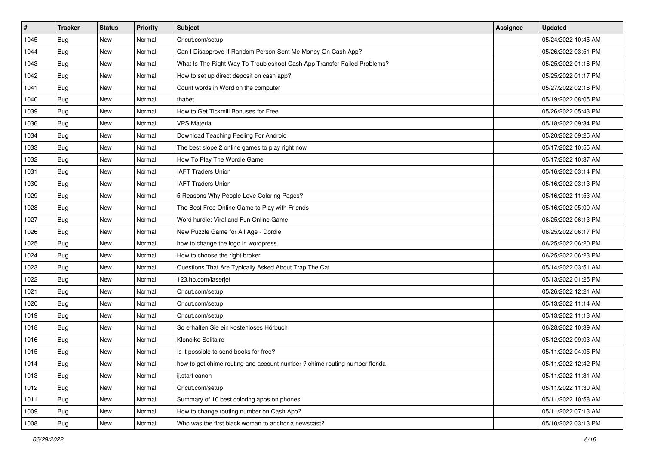| $\vert$ # | <b>Tracker</b> | <b>Status</b> | <b>Priority</b> | Subject                                                                    | Assignee | <b>Updated</b>      |
|-----------|----------------|---------------|-----------------|----------------------------------------------------------------------------|----------|---------------------|
| 1045      | Bug            | New           | Normal          | Cricut.com/setup                                                           |          | 05/24/2022 10:45 AM |
| 1044      | Bug            | New           | Normal          | Can I Disapprove If Random Person Sent Me Money On Cash App?               |          | 05/26/2022 03:51 PM |
| 1043      | Bug            | <b>New</b>    | Normal          | What Is The Right Way To Troubleshoot Cash App Transfer Failed Problems?   |          | 05/25/2022 01:16 PM |
| 1042      | Bug            | New           | Normal          | How to set up direct deposit on cash app?                                  |          | 05/25/2022 01:17 PM |
| 1041      | Bug            | <b>New</b>    | Normal          | Count words in Word on the computer                                        |          | 05/27/2022 02:16 PM |
| 1040      | Bug            | New           | Normal          | thabet                                                                     |          | 05/19/2022 08:05 PM |
| 1039      | Bug            | <b>New</b>    | Normal          | How to Get Tickmill Bonuses for Free                                       |          | 05/26/2022 05:43 PM |
| 1036      | Bug            | <b>New</b>    | Normal          | <b>VPS Material</b>                                                        |          | 05/18/2022 09:34 PM |
| 1034      | <b>Bug</b>     | New           | Normal          | Download Teaching Feeling For Android                                      |          | 05/20/2022 09:25 AM |
| 1033      | Bug            | New           | Normal          | The best slope 2 online games to play right now                            |          | 05/17/2022 10:55 AM |
| 1032      | Bug            | New           | Normal          | How To Play The Wordle Game                                                |          | 05/17/2022 10:37 AM |
| 1031      | Bug            | <b>New</b>    | Normal          | <b>IAFT Traders Union</b>                                                  |          | 05/16/2022 03:14 PM |
| 1030      | Bug            | <b>New</b>    | Normal          | <b>IAFT Traders Union</b>                                                  |          | 05/16/2022 03:13 PM |
| 1029      | Bug            | New           | Normal          | 5 Reasons Why People Love Coloring Pages?                                  |          | 05/16/2022 11:53 AM |
| 1028      | Bug            | New           | Normal          | The Best Free Online Game to Play with Friends                             |          | 05/16/2022 05:00 AM |
| 1027      | Bug            | <b>New</b>    | Normal          | Word hurdle: Viral and Fun Online Game                                     |          | 06/25/2022 06:13 PM |
| 1026      | Bug            | <b>New</b>    | Normal          | New Puzzle Game for All Age - Dordle                                       |          | 06/25/2022 06:17 PM |
| 1025      | Bug            | <b>New</b>    | Normal          | how to change the logo in wordpress                                        |          | 06/25/2022 06:20 PM |
| 1024      | Bug            | New           | Normal          | How to choose the right broker                                             |          | 06/25/2022 06:23 PM |
| 1023      | Bug            | New           | Normal          | Questions That Are Typically Asked About Trap The Cat                      |          | 05/14/2022 03:51 AM |
| 1022      | Bug            | <b>New</b>    | Normal          | 123.hp.com/laserjet                                                        |          | 05/13/2022 01:25 PM |
| 1021      | <b>Bug</b>     | New           | Normal          | Cricut.com/setup                                                           |          | 05/26/2022 12:21 AM |
| 1020      | Bug            | New           | Normal          | Cricut.com/setup                                                           |          | 05/13/2022 11:14 AM |
| 1019      | Bug            | New           | Normal          | Cricut.com/setup                                                           |          | 05/13/2022 11:13 AM |
| 1018      | Bug            | <b>New</b>    | Normal          | So erhalten Sie ein kostenloses Hörbuch                                    |          | 06/28/2022 10:39 AM |
| 1016      | Bug            | <b>New</b>    | Normal          | Klondike Solitaire                                                         |          | 05/12/2022 09:03 AM |
| 1015      | <b>Bug</b>     | New           | Normal          | Is it possible to send books for free?                                     |          | 05/11/2022 04:05 PM |
| 1014      | Bug            | New           | Normal          | how to get chime routing and account number ? chime routing number florida |          | 05/11/2022 12:42 PM |
| 1013      | Bug            | New           | Normal          | ij.start canon                                                             |          | 05/11/2022 11:31 AM |
| 1012      | Bug            | New           | Normal          | Cricut.com/setup                                                           |          | 05/11/2022 11:30 AM |
| 1011      | Bug            | New           | Normal          | Summary of 10 best coloring apps on phones                                 |          | 05/11/2022 10:58 AM |
| 1009      | Bug            | New           | Normal          | How to change routing number on Cash App?                                  |          | 05/11/2022 07:13 AM |
| 1008      | <b>Bug</b>     | New           | Normal          | Who was the first black woman to anchor a newscast?                        |          | 05/10/2022 03:13 PM |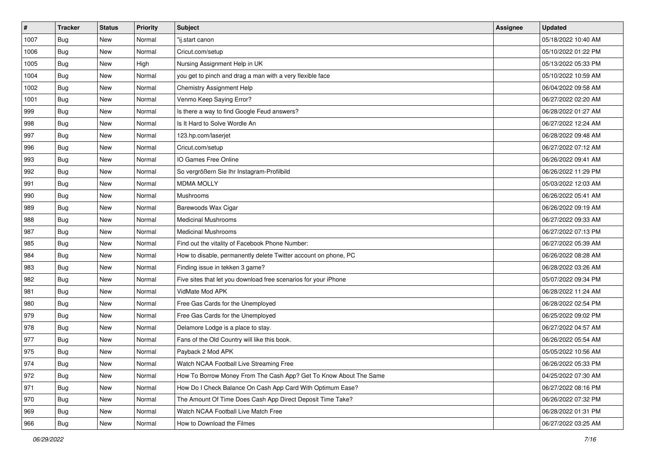| $\vert$ # | <b>Tracker</b> | <b>Status</b> | <b>Priority</b> | Subject                                                           | Assignee | <b>Updated</b>      |
|-----------|----------------|---------------|-----------------|-------------------------------------------------------------------|----------|---------------------|
| 1007      | <b>Bug</b>     | New           | Normal          | "ij.start canon                                                   |          | 05/18/2022 10:40 AM |
| 1006      | <b>Bug</b>     | New           | Normal          | Cricut.com/setup                                                  |          | 05/10/2022 01:22 PM |
| 1005      | Bug            | New           | High            | Nursing Assignment Help in UK                                     |          | 05/13/2022 05:33 PM |
| 1004      | <b>Bug</b>     | New           | Normal          | you get to pinch and drag a man with a very flexible face         |          | 05/10/2022 10:59 AM |
| 1002      | Bug            | New           | Normal          | Chemistry Assignment Help                                         |          | 06/04/2022 09:58 AM |
| 1001      | <b>Bug</b>     | New           | Normal          | Venmo Keep Saying Error?                                          |          | 06/27/2022 02:20 AM |
| 999       | Bug            | New           | Normal          | Is there a way to find Google Feud answers?                       |          | 06/28/2022 01:27 AM |
| 998       | <b>Bug</b>     | New           | Normal          | Is It Hard to Solve Wordle An                                     |          | 06/27/2022 12:24 AM |
| 997       | <b>Bug</b>     | New           | Normal          | 123.hp.com/laserjet                                               |          | 06/28/2022 09:48 AM |
| 996       | Bug            | New           | Normal          | Cricut.com/setup                                                  |          | 06/27/2022 07:12 AM |
| 993       | <b>Bug</b>     | New           | Normal          | IO Games Free Online                                              |          | 06/26/2022 09:41 AM |
| 992       | Bug            | New           | Normal          | So vergrößern Sie Ihr Instagram-Profilbild                        |          | 06/26/2022 11:29 PM |
| 991       | Bug            | New           | Normal          | <b>MDMA MOLLY</b>                                                 |          | 05/03/2022 12:03 AM |
| 990       | <b>Bug</b>     | New           | Normal          | Mushrooms                                                         |          | 06/26/2022 05:41 AM |
| 989       | <b>Bug</b>     | New           | Normal          | Barewoods Wax Cigar                                               |          | 06/26/2022 09:19 AM |
| 988       | Bug            | New           | Normal          | <b>Medicinal Mushrooms</b>                                        |          | 06/27/2022 09:33 AM |
| 987       | <b>Bug</b>     | New           | Normal          | <b>Medicinal Mushrooms</b>                                        |          | 06/27/2022 07:13 PM |
| 985       | Bug            | New           | Normal          | Find out the vitality of Facebook Phone Number:                   |          | 06/27/2022 05:39 AM |
| 984       | <b>Bug</b>     | New           | Normal          | How to disable, permanently delete Twitter account on phone, PC   |          | 06/26/2022 08:28 AM |
| 983       | Bug            | New           | Normal          | Finding issue in tekken 3 game?                                   |          | 06/28/2022 03:26 AM |
| 982       | Bug            | New           | Normal          | Five sites that let you download free scenarios for your iPhone   |          | 05/07/2022 09:34 PM |
| 981       | <b>Bug</b>     | New           | Normal          | VidMate Mod APK                                                   |          | 06/28/2022 11:24 AM |
| 980       | Bug            | New           | Normal          | Free Gas Cards for the Unemployed                                 |          | 06/28/2022 02:54 PM |
| 979       | <b>Bug</b>     | New           | Normal          | Free Gas Cards for the Unemployed                                 |          | 06/25/2022 09:02 PM |
| 978       | <b>Bug</b>     | New           | Normal          | Delamore Lodge is a place to stay.                                |          | 06/27/2022 04:57 AM |
| 977       | Bug            | New           | Normal          | Fans of the Old Country will like this book.                      |          | 06/26/2022 05:54 AM |
| 975       | <b>Bug</b>     | New           | Normal          | Payback 2 Mod APK                                                 |          | 05/05/2022 10:56 AM |
| 974       | Bug            | New           | Normal          | Watch NCAA Football Live Streaming Free                           |          | 06/26/2022 05:33 PM |
| 972       | Bug            | New           | Normal          | How To Borrow Money From The Cash App? Get To Know About The Same |          | 04/25/2022 07:30 AM |
| 971       | Bug            | New           | Normal          | How Do I Check Balance On Cash App Card With Optimum Ease?        |          | 06/27/2022 08:16 PM |
| 970       | <b>Bug</b>     | New           | Normal          | The Amount Of Time Does Cash App Direct Deposit Time Take?        |          | 06/26/2022 07:32 PM |
| 969       | <b>Bug</b>     | New           | Normal          | Watch NCAA Football Live Match Free                               |          | 06/28/2022 01:31 PM |
| 966       | <b>Bug</b>     | New           | Normal          | How to Download the Filmes                                        |          | 06/27/2022 03:25 AM |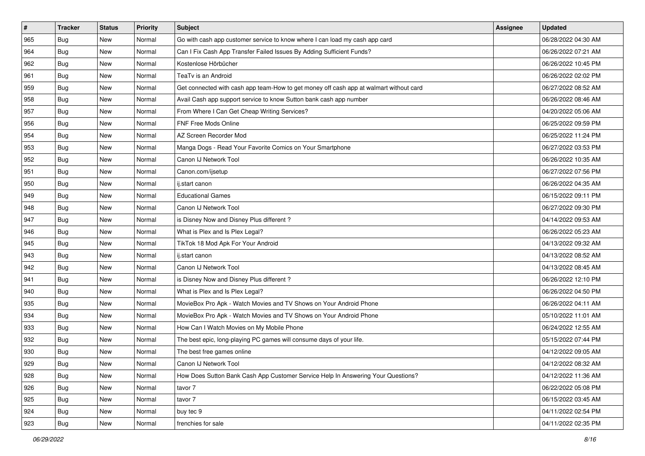| $\vert$ # | <b>Tracker</b> | <b>Status</b> | Priority | Subject                                                                                | Assignee | <b>Updated</b>      |
|-----------|----------------|---------------|----------|----------------------------------------------------------------------------------------|----------|---------------------|
| 965       | <b>Bug</b>     | New           | Normal   | Go with cash app customer service to know where I can load my cash app card            |          | 06/28/2022 04:30 AM |
| 964       | Bug            | New           | Normal   | Can I Fix Cash App Transfer Failed Issues By Adding Sufficient Funds?                  |          | 06/26/2022 07:21 AM |
| 962       | Bug            | New           | Normal   | Kostenlose Hörbücher                                                                   |          | 06/26/2022 10:45 PM |
| 961       | <b>Bug</b>     | New           | Normal   | TeaTv is an Android                                                                    |          | 06/26/2022 02:02 PM |
| 959       | <b>Bug</b>     | New           | Normal   | Get connected with cash app team-How to get money off cash app at walmart without card |          | 06/27/2022 08:52 AM |
| 958       | Bug            | New           | Normal   | Avail Cash app support service to know Sutton bank cash app number                     |          | 06/26/2022 08:46 AM |
| 957       | <b>Bug</b>     | New           | Normal   | From Where I Can Get Cheap Writing Services?                                           |          | 04/20/2022 05:06 AM |
| 956       | Bug            | New           | Normal   | <b>FNF Free Mods Online</b>                                                            |          | 06/25/2022 09:59 PM |
| 954       | <b>Bug</b>     | New           | Normal   | AZ Screen Recorder Mod                                                                 |          | 06/25/2022 11:24 PM |
| 953       | <b>Bug</b>     | New           | Normal   | Manga Dogs - Read Your Favorite Comics on Your Smartphone                              |          | 06/27/2022 03:53 PM |
| 952       | <b>Bug</b>     | New           | Normal   | Canon IJ Network Tool                                                                  |          | 06/26/2022 10:35 AM |
| 951       | <b>Bug</b>     | New           | Normal   | Canon.com/ijsetup                                                                      |          | 06/27/2022 07:56 PM |
| 950       | Bug            | New           | Normal   | ij.start canon                                                                         |          | 06/26/2022 04:35 AM |
| 949       | <b>Bug</b>     | New           | Normal   | <b>Educational Games</b>                                                               |          | 06/15/2022 09:11 PM |
| 948       | Bug            | New           | Normal   | Canon IJ Network Tool                                                                  |          | 06/27/2022 09:30 PM |
| 947       | Bug            | New           | Normal   | is Disney Now and Disney Plus different?                                               |          | 04/14/2022 09:53 AM |
| 946       | <b>Bug</b>     | New           | Normal   | What is Plex and Is Plex Legal?                                                        |          | 06/26/2022 05:23 AM |
| 945       | Bug            | New           | Normal   | TikTok 18 Mod Apk For Your Android                                                     |          | 04/13/2022 09:32 AM |
| 943       | <b>Bug</b>     | New           | Normal   | ij.start canon                                                                         |          | 04/13/2022 08:52 AM |
| 942       | Bug            | New           | Normal   | Canon IJ Network Tool                                                                  |          | 04/13/2022 08:45 AM |
| 941       | <b>Bug</b>     | New           | Normal   | is Disney Now and Disney Plus different?                                               |          | 06/26/2022 12:10 PM |
| 940       | Bug            | New           | Normal   | What is Plex and Is Plex Legal?                                                        |          | 06/26/2022 04:50 PM |
| 935       | Bug            | New           | Normal   | MovieBox Pro Apk - Watch Movies and TV Shows on Your Android Phone                     |          | 06/26/2022 04:11 AM |
| 934       | Bug            | New           | Normal   | MovieBox Pro Apk - Watch Movies and TV Shows on Your Android Phone                     |          | 05/10/2022 11:01 AM |
| 933       | <b>Bug</b>     | New           | Normal   | How Can I Watch Movies on My Mobile Phone                                              |          | 06/24/2022 12:55 AM |
| 932       | Bug            | New           | Normal   | The best epic, long-playing PC games will consume days of your life.                   |          | 05/15/2022 07:44 PM |
| 930       | <b>Bug</b>     | New           | Normal   | The best free games online                                                             |          | 04/12/2022 09:05 AM |
| 929       | Bug            | New           | Normal   | Canon IJ Network Tool                                                                  |          | 04/12/2022 08:32 AM |
| 928       | Bug            | New           | Normal   | How Does Sutton Bank Cash App Customer Service Help In Answering Your Questions?       |          | 04/12/2022 11:36 AM |
| 926       | Bug            | New           | Normal   | tavor 7                                                                                |          | 06/22/2022 05:08 PM |
| 925       | Bug            | New           | Normal   | tavor 7                                                                                |          | 06/15/2022 03:45 AM |
| 924       | <b>Bug</b>     | New           | Normal   | buy tec 9                                                                              |          | 04/11/2022 02:54 PM |
| 923       | <b>Bug</b>     | New           | Normal   | frenchies for sale                                                                     |          | 04/11/2022 02:35 PM |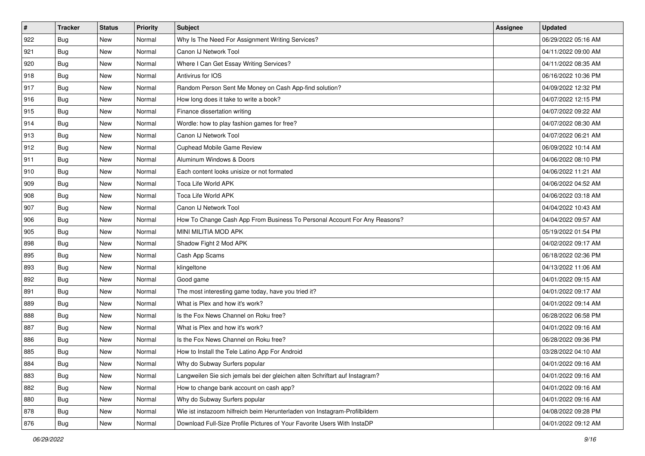| #   | <b>Tracker</b> | <b>Status</b> | <b>Priority</b> | Subject                                                                     | Assignee | <b>Updated</b>      |
|-----|----------------|---------------|-----------------|-----------------------------------------------------------------------------|----------|---------------------|
| 922 | <b>Bug</b>     | New           | Normal          | Why Is The Need For Assignment Writing Services?                            |          | 06/29/2022 05:16 AM |
| 921 | Bug            | New           | Normal          | Canon IJ Network Tool                                                       |          | 04/11/2022 09:00 AM |
| 920 | Bug            | New           | Normal          | Where I Can Get Essay Writing Services?                                     |          | 04/11/2022 08:35 AM |
| 918 | <b>Bug</b>     | New           | Normal          | Antivirus for IOS                                                           |          | 06/16/2022 10:36 PM |
| 917 | Bug            | New           | Normal          | Random Person Sent Me Money on Cash App-find solution?                      |          | 04/09/2022 12:32 PM |
| 916 | <b>Bug</b>     | New           | Normal          | How long does it take to write a book?                                      |          | 04/07/2022 12:15 PM |
| 915 | Bug            | New           | Normal          | Finance dissertation writing                                                |          | 04/07/2022 09:22 AM |
| 914 | <b>Bug</b>     | New           | Normal          | Wordle: how to play fashion games for free?                                 |          | 04/07/2022 08:30 AM |
| 913 | Bug            | New           | Normal          | Canon IJ Network Tool                                                       |          | 04/07/2022 06:21 AM |
| 912 | Bug            | New           | Normal          | Cuphead Mobile Game Review                                                  |          | 06/09/2022 10:14 AM |
| 911 | <b>Bug</b>     | New           | Normal          | Aluminum Windows & Doors                                                    |          | 04/06/2022 08:10 PM |
| 910 | Bug            | New           | Normal          | Each content looks unisize or not formated                                  |          | 04/06/2022 11:21 AM |
| 909 | <b>Bug</b>     | New           | Normal          | Toca Life World APK                                                         |          | 04/06/2022 04:52 AM |
| 908 | <b>Bug</b>     | New           | Normal          | Toca Life World APK                                                         |          | 04/06/2022 03:18 AM |
| 907 | <b>Bug</b>     | New           | Normal          | Canon IJ Network Tool                                                       |          | 04/04/2022 10:43 AM |
| 906 | Bug            | New           | Normal          | How To Change Cash App From Business To Personal Account For Any Reasons?   |          | 04/04/2022 09:57 AM |
| 905 | <b>Bug</b>     | New           | Normal          | MINI MILITIA MOD APK                                                        |          | 05/19/2022 01:54 PM |
| 898 | Bug            | New           | Normal          | Shadow Fight 2 Mod APK                                                      |          | 04/02/2022 09:17 AM |
| 895 | Bug            | New           | Normal          | Cash App Scams                                                              |          | 06/18/2022 02:36 PM |
| 893 | Bug            | New           | Normal          | klingeltone                                                                 |          | 04/13/2022 11:06 AM |
| 892 | <b>Bug</b>     | New           | Normal          | Good game                                                                   |          | 04/01/2022 09:15 AM |
| 891 | <b>Bug</b>     | New           | Normal          | The most interesting game today, have you tried it?                         |          | 04/01/2022 09:17 AM |
| 889 | Bug            | New           | Normal          | What is Plex and how it's work?                                             |          | 04/01/2022 09:14 AM |
| 888 | <b>Bug</b>     | New           | Normal          | Is the Fox News Channel on Roku free?                                       |          | 06/28/2022 06:58 PM |
| 887 | Bug            | New           | Normal          | What is Plex and how it's work?                                             |          | 04/01/2022 09:16 AM |
| 886 | Bug            | New           | Normal          | Is the Fox News Channel on Roku free?                                       |          | 06/28/2022 09:36 PM |
| 885 | <b>Bug</b>     | New           | Normal          | How to Install the Tele Latino App For Android                              |          | 03/28/2022 04:10 AM |
| 884 | Bug            | New           | Normal          | Why do Subway Surfers popular                                               |          | 04/01/2022 09:16 AM |
| 883 | Bug            | New           | Normal          | Langweilen Sie sich jemals bei der gleichen alten Schriftart auf Instagram? |          | 04/01/2022 09:16 AM |
| 882 | Bug            | New           | Normal          | How to change bank account on cash app?                                     |          | 04/01/2022 09:16 AM |
| 880 | <b>Bug</b>     | New           | Normal          | Why do Subway Surfers popular                                               |          | 04/01/2022 09:16 AM |
| 878 | <b>Bug</b>     | New           | Normal          | Wie ist instazoom hilfreich beim Herunterladen von Instagram-Profilbildern  |          | 04/08/2022 09:28 PM |
| 876 | <b>Bug</b>     | New           | Normal          | Download Full-Size Profile Pictures of Your Favorite Users With InstaDP     |          | 04/01/2022 09:12 AM |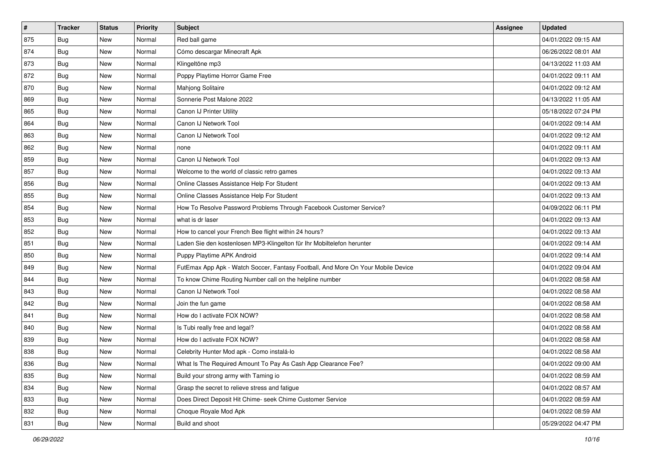| $\vert$ # | <b>Tracker</b> | <b>Status</b> | <b>Priority</b> | Subject                                                                          | Assignee | <b>Updated</b>      |
|-----------|----------------|---------------|-----------------|----------------------------------------------------------------------------------|----------|---------------------|
| 875       | <b>Bug</b>     | New           | Normal          | Red ball game                                                                    |          | 04/01/2022 09:15 AM |
| 874       | <b>Bug</b>     | New           | Normal          | Cómo descargar Minecraft Apk                                                     |          | 06/26/2022 08:01 AM |
| 873       | Bug            | New           | Normal          | Klingeltöne mp3                                                                  |          | 04/13/2022 11:03 AM |
| 872       | <b>Bug</b>     | New           | Normal          | Poppy Playtime Horror Game Free                                                  |          | 04/01/2022 09:11 AM |
| 870       | Bug            | New           | Normal          | Mahjong Solitaire                                                                |          | 04/01/2022 09:12 AM |
| 869       | <b>Bug</b>     | New           | Normal          | Sonnerie Post Malone 2022                                                        |          | 04/13/2022 11:05 AM |
| 865       | <b>Bug</b>     | New           | Normal          | Canon IJ Printer Utility                                                         |          | 05/18/2022 07:24 PM |
| 864       | <b>Bug</b>     | New           | Normal          | Canon IJ Network Tool                                                            |          | 04/01/2022 09:14 AM |
| 863       | <b>Bug</b>     | New           | Normal          | Canon IJ Network Tool                                                            |          | 04/01/2022 09:12 AM |
| 862       | Bug            | New           | Normal          | none                                                                             |          | 04/01/2022 09:11 AM |
| 859       | <b>Bug</b>     | New           | Normal          | Canon IJ Network Tool                                                            |          | 04/01/2022 09:13 AM |
| 857       | <b>Bug</b>     | New           | Normal          | Welcome to the world of classic retro games                                      |          | 04/01/2022 09:13 AM |
| 856       | Bug            | New           | Normal          | Online Classes Assistance Help For Student                                       |          | 04/01/2022 09:13 AM |
| 855       | Bug            | New           | Normal          | Online Classes Assistance Help For Student                                       |          | 04/01/2022 09:13 AM |
| 854       | Bug            | New           | Normal          | How To Resolve Password Problems Through Facebook Customer Service?              |          | 04/09/2022 06:11 PM |
| 853       | Bug            | New           | Normal          | what is dr laser                                                                 |          | 04/01/2022 09:13 AM |
| 852       | Bug            | New           | Normal          | How to cancel your French Bee flight within 24 hours?                            |          | 04/01/2022 09:13 AM |
| 851       | <b>Bug</b>     | New           | Normal          | Laden Sie den kostenlosen MP3-Klingelton für Ihr Mobiltelefon herunter           |          | 04/01/2022 09:14 AM |
| 850       | <b>Bug</b>     | New           | Normal          | Puppy Playtime APK Android                                                       |          | 04/01/2022 09:14 AM |
| 849       | Bug            | New           | Normal          | FutEmax App Apk - Watch Soccer, Fantasy Football, And More On Your Mobile Device |          | 04/01/2022 09:04 AM |
| 844       | <b>Bug</b>     | New           | Normal          | To know Chime Routing Number call on the helpline number                         |          | 04/01/2022 08:58 AM |
| 843       | <b>Bug</b>     | New           | Normal          | Canon IJ Network Tool                                                            |          | 04/01/2022 08:58 AM |
| 842       | Bug            | New           | Normal          | Join the fun game                                                                |          | 04/01/2022 08:58 AM |
| 841       | <b>Bug</b>     | New           | Normal          | How do I activate FOX NOW?                                                       |          | 04/01/2022 08:58 AM |
| 840       | Bug            | New           | Normal          | Is Tubi really free and legal?                                                   |          | 04/01/2022 08:58 AM |
| 839       | Bug            | New           | Normal          | How do I activate FOX NOW?                                                       |          | 04/01/2022 08:58 AM |
| 838       | <b>Bug</b>     | New           | Normal          | Celebrity Hunter Mod apk - Como instalá-lo                                       |          | 04/01/2022 08:58 AM |
| 836       | <b>Bug</b>     | New           | Normal          | What Is The Required Amount To Pay As Cash App Clearance Fee?                    |          | 04/01/2022 09:00 AM |
| 835       | Bug            | New           | Normal          | Build your strong army with Taming io                                            |          | 04/01/2022 08:59 AM |
| 834       | Bug            | New           | Normal          | Grasp the secret to relieve stress and fatigue                                   |          | 04/01/2022 08:57 AM |
| 833       | Bug            | New           | Normal          | Does Direct Deposit Hit Chime- seek Chime Customer Service                       |          | 04/01/2022 08:59 AM |
| 832       | <b>Bug</b>     | New           | Normal          | Choque Royale Mod Apk                                                            |          | 04/01/2022 08:59 AM |
| 831       | Bug            | New           | Normal          | Build and shoot                                                                  |          | 05/29/2022 04:47 PM |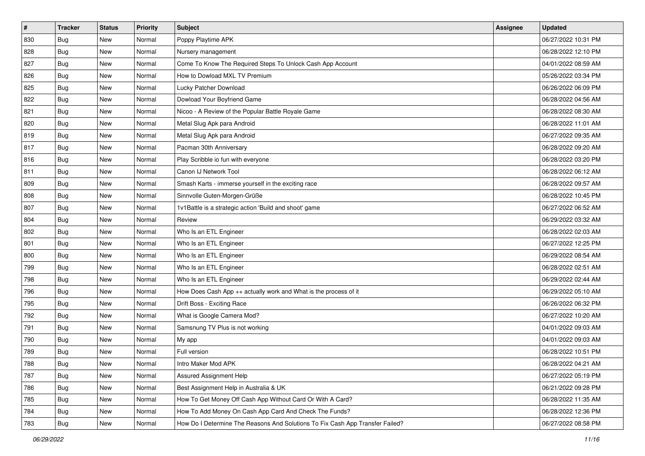| #   | <b>Tracker</b> | <b>Status</b> | <b>Priority</b> | Subject                                                                       | Assignee | <b>Updated</b>      |
|-----|----------------|---------------|-----------------|-------------------------------------------------------------------------------|----------|---------------------|
| 830 | <b>Bug</b>     | New           | Normal          | Poppy Playtime APK                                                            |          | 06/27/2022 10:31 PM |
| 828 | <b>Bug</b>     | <b>New</b>    | Normal          | Nursery management                                                            |          | 06/28/2022 12:10 PM |
| 827 | Bug            | New           | Normal          | Come To Know The Required Steps To Unlock Cash App Account                    |          | 04/01/2022 08:59 AM |
| 826 | Bug            | New           | Normal          | How to Dowload MXL TV Premium                                                 |          | 05/26/2022 03:34 PM |
| 825 | Bug            | <b>New</b>    | Normal          | Lucky Patcher Download                                                        |          | 06/26/2022 06:09 PM |
| 822 | Bug            | New           | Normal          | Dowload Your Boyfriend Game                                                   |          | 06/28/2022 04:56 AM |
| 821 | Bug            | New           | Normal          | Nicoo - A Review of the Popular Battle Royale Game                            |          | 06/28/2022 08:30 AM |
| 820 | Bug            | New           | Normal          | Metal Slug Apk para Android                                                   |          | 06/28/2022 11:01 AM |
| 819 | Bug            | New           | Normal          | Metal Slug Apk para Android                                                   |          | 06/27/2022 09:35 AM |
| 817 | Bug            | New           | Normal          | Pacman 30th Anniversary                                                       |          | 06/28/2022 09:20 AM |
| 816 | Bug            | New           | Normal          | Play Scribble io fun with everyone                                            |          | 06/28/2022 03:20 PM |
| 811 | Bug            | New           | Normal          | Canon IJ Network Tool                                                         |          | 06/28/2022 06:12 AM |
| 809 | Bug            | <b>New</b>    | Normal          | Smash Karts - immerse yourself in the exciting race                           |          | 06/28/2022 09:57 AM |
| 808 | Bug            | <b>New</b>    | Normal          | Sinnvolle Guten-Morgen-Grüße                                                  |          | 06/28/2022 10:45 PM |
| 807 | <b>Bug</b>     | New           | Normal          | 1v1Battle is a strategic action 'Build and shoot' game                        |          | 06/27/2022 06:52 AM |
| 804 | Bug            | New           | Normal          | Review                                                                        |          | 06/29/2022 03:32 AM |
| 802 | Bug            | New           | Normal          | Who Is an ETL Engineer                                                        |          | 06/28/2022 02:03 AM |
| 801 | Bug            | <b>New</b>    | Normal          | Who Is an ETL Engineer                                                        |          | 06/27/2022 12:25 PM |
| 800 | <b>Bug</b>     | New           | Normal          | Who Is an ETL Engineer                                                        |          | 06/29/2022 08:54 AM |
| 799 | Bug            | New           | Normal          | Who Is an ETL Engineer                                                        |          | 06/28/2022 02:51 AM |
| 798 | <b>Bug</b>     | New           | Normal          | Who Is an ETL Engineer                                                        |          | 06/29/2022 02:44 AM |
| 796 | Bug            | New           | Normal          | How Does Cash App ++ actually work and What is the process of it              |          | 06/29/2022 05:10 AM |
| 795 | Bug            | <b>New</b>    | Normal          | Drift Boss - Exciting Race                                                    |          | 06/26/2022 06:32 PM |
| 792 | <b>Bug</b>     | New           | Normal          | What is Google Camera Mod?                                                    |          | 06/27/2022 10:20 AM |
| 791 | <b>Bug</b>     | New           | Normal          | Samsnung TV Plus is not working                                               |          | 04/01/2022 09:03 AM |
| 790 | Bug            | New           | Normal          | My app                                                                        |          | 04/01/2022 09:03 AM |
| 789 | <b>Bug</b>     | <b>New</b>    | Normal          | Full version                                                                  |          | 06/28/2022 10:51 PM |
| 788 | <b>Bug</b>     | New           | Normal          | Intro Maker Mod APK                                                           |          | 06/28/2022 04:21 AM |
| 787 | Bug            | New           | Normal          | Assured Assignment Help                                                       |          | 06/27/2022 05:19 PM |
| 786 | Bug            | New           | Normal          | Best Assignment Help in Australia & UK                                        |          | 06/21/2022 09:28 PM |
| 785 | Bug            | New           | Normal          | How To Get Money Off Cash App Without Card Or With A Card?                    |          | 06/28/2022 11:35 AM |
| 784 | Bug            | New           | Normal          | How To Add Money On Cash App Card And Check The Funds?                        |          | 06/28/2022 12:36 PM |
| 783 | Bug            | <b>New</b>    | Normal          | How Do I Determine The Reasons And Solutions To Fix Cash App Transfer Failed? |          | 06/27/2022 08:58 PM |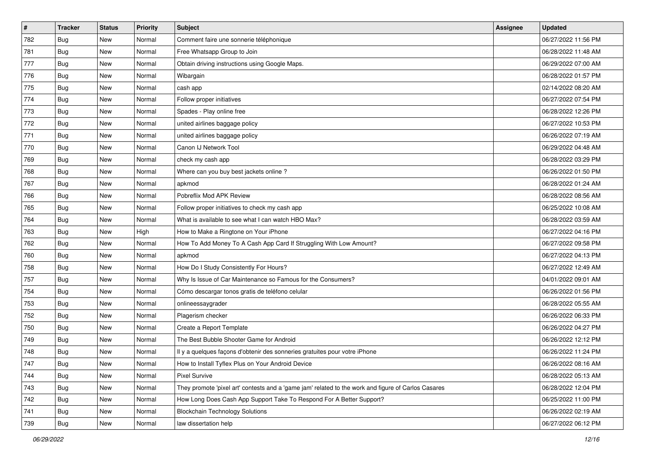| $\sharp$ | <b>Tracker</b> | <b>Status</b> | <b>Priority</b> | <b>Subject</b>                                                                                      | Assignee | <b>Updated</b>      |
|----------|----------------|---------------|-----------------|-----------------------------------------------------------------------------------------------------|----------|---------------------|
| 782      | <b>Bug</b>     | New           | Normal          | Comment faire une sonnerie téléphonique                                                             |          | 06/27/2022 11:56 PM |
| 781      | Bug            | New           | Normal          | Free Whatsapp Group to Join                                                                         |          | 06/28/2022 11:48 AM |
| 777      | Bug            | <b>New</b>    | Normal          | Obtain driving instructions using Google Maps.                                                      |          | 06/29/2022 07:00 AM |
| 776      | <b>Bug</b>     | New           | Normal          | Wibargain                                                                                           |          | 06/28/2022 01:57 PM |
| 775      | <b>Bug</b>     | <b>New</b>    | Normal          | cash app                                                                                            |          | 02/14/2022 08:20 AM |
| 774      | Bug            | New           | Normal          | Follow proper initiatives                                                                           |          | 06/27/2022 07:54 PM |
| 773      | Bug            | New           | Normal          | Spades - Play online free                                                                           |          | 06/28/2022 12:26 PM |
| 772      | Bug            | New           | Normal          | united airlines baggage policy                                                                      |          | 06/27/2022 10:53 PM |
| 771      | <b>Bug</b>     | New           | Normal          | united airlines baggage policy                                                                      |          | 06/26/2022 07:19 AM |
| 770      | Bug            | New           | Normal          | Canon IJ Network Tool                                                                               |          | 06/29/2022 04:48 AM |
| 769      | Bug            | New           | Normal          | check my cash app                                                                                   |          | 06/28/2022 03:29 PM |
| 768      | Bug            | New           | Normal          | Where can you buy best jackets online?                                                              |          | 06/26/2022 01:50 PM |
| 767      | Bug            | New           | Normal          | apkmod                                                                                              |          | 06/28/2022 01:24 AM |
| 766      | Bug            | New           | Normal          | Pobreflix Mod APK Review                                                                            |          | 06/28/2022 08:56 AM |
| 765      | <b>Bug</b>     | New           | Normal          | Follow proper initiatives to check my cash app                                                      |          | 06/25/2022 10:08 AM |
| 764      | Bug            | New           | Normal          | What is available to see what I can watch HBO Max?                                                  |          | 06/28/2022 03:59 AM |
| 763      | Bug            | New           | High            | How to Make a Ringtone on Your iPhone                                                               |          | 06/27/2022 04:16 PM |
| 762      | Bug            | <b>New</b>    | Normal          | How To Add Money To A Cash App Card If Struggling With Low Amount?                                  |          | 06/27/2022 09:58 PM |
| 760      | <b>Bug</b>     | New           | Normal          | apkmod                                                                                              |          | 06/27/2022 04:13 PM |
| 758      | Bug            | New           | Normal          | How Do I Study Consistently For Hours?                                                              |          | 06/27/2022 12:49 AM |
| 757      | Bug            | New           | Normal          | Why Is Issue of Car Maintenance so Famous for the Consumers?                                        |          | 04/01/2022 09:01 AM |
| 754      | <b>Bug</b>     | New           | Normal          | Cómo descargar tonos gratis de teléfono celular                                                     |          | 06/26/2022 01:56 PM |
| 753      | Bug            | <b>New</b>    | Normal          | onlineessaygrader                                                                                   |          | 06/28/2022 05:55 AM |
| 752      | Bug            | New           | Normal          | Plagerism checker                                                                                   |          | 06/26/2022 06:33 PM |
| 750      | <b>Bug</b>     | New           | Normal          | Create a Report Template                                                                            |          | 06/26/2022 04:27 PM |
| 749      | Bug            | New           | Normal          | The Best Bubble Shooter Game for Android                                                            |          | 06/26/2022 12:12 PM |
| 748      | <b>Bug</b>     | New           | Normal          | Il y a quelques façons d'obtenir des sonneries gratuites pour votre iPhone                          |          | 06/26/2022 11:24 PM |
| 747      | <b>Bug</b>     | New           | Normal          | How to Install Tyflex Plus on Your Android Device                                                   |          | 06/26/2022 08:16 AM |
| 744      | Bug            | New           | Normal          | <b>Pixel Survive</b>                                                                                |          | 06/28/2022 05:13 AM |
| 743      | Bug            | New           | Normal          | They promote 'pixel art' contests and a 'game jam' related to the work and figure of Carlos Casares |          | 06/28/2022 12:04 PM |
| 742      | Bug            | New           | Normal          | How Long Does Cash App Support Take To Respond For A Better Support?                                |          | 06/25/2022 11:00 PM |
| 741      | <b>Bug</b>     | New           | Normal          | <b>Blockchain Technology Solutions</b>                                                              |          | 06/26/2022 02:19 AM |
| 739      | Bug            | New           | Normal          | law dissertation help                                                                               |          | 06/27/2022 06:12 PM |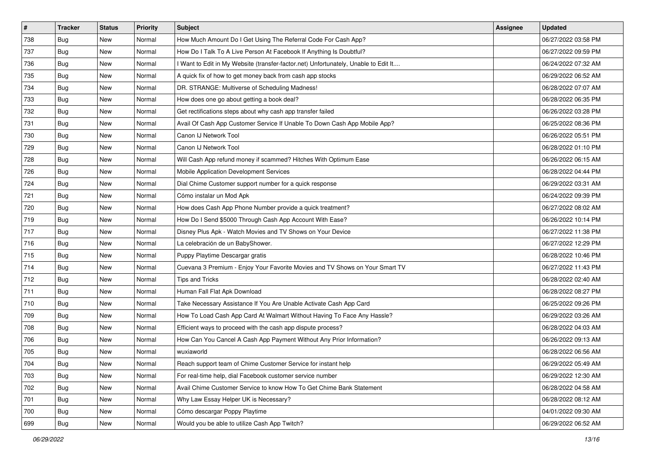| $\sharp$ | <b>Tracker</b> | <b>Status</b> | <b>Priority</b> | Subject                                                                             | <b>Assignee</b> | <b>Updated</b>      |
|----------|----------------|---------------|-----------------|-------------------------------------------------------------------------------------|-----------------|---------------------|
| 738      | Bug            | New           | Normal          | How Much Amount Do I Get Using The Referral Code For Cash App?                      |                 | 06/27/2022 03:58 PM |
| 737      | Bug            | New           | Normal          | How Do I Talk To A Live Person At Facebook If Anything Is Doubtful?                 |                 | 06/27/2022 09:59 PM |
| 736      | Bug            | New           | Normal          | I Want to Edit in My Website (transfer-factor.net) Unfortunately, Unable to Edit It |                 | 06/24/2022 07:32 AM |
| 735      | Bug            | New           | Normal          | A quick fix of how to get money back from cash app stocks                           |                 | 06/29/2022 06:52 AM |
| 734      | Bug            | New           | Normal          | DR. STRANGE: Multiverse of Scheduling Madness!                                      |                 | 06/28/2022 07:07 AM |
| 733      | Bug            | New           | Normal          | How does one go about getting a book deal?                                          |                 | 06/28/2022 06:35 PM |
| 732      | Bug            | New           | Normal          | Get rectifications steps about why cash app transfer failed                         |                 | 06/26/2022 03:28 PM |
| 731      | <b>Bug</b>     | New           | Normal          | Avail Of Cash App Customer Service If Unable To Down Cash App Mobile App?           |                 | 06/25/2022 08:36 PM |
| 730      | Bug            | New           | Normal          | Canon IJ Network Tool                                                               |                 | 06/26/2022 05:51 PM |
| 729      | Bug            | New           | Normal          | Canon IJ Network Tool                                                               |                 | 06/28/2022 01:10 PM |
| 728      | Bug            | New           | Normal          | Will Cash App refund money if scammed? Hitches With Optimum Ease                    |                 | 06/26/2022 06:15 AM |
| 726      | <b>Bug</b>     | New           | Normal          | Mobile Application Development Services                                             |                 | 06/28/2022 04:44 PM |
| 724      | Bug            | New           | Normal          | Dial Chime Customer support number for a quick response                             |                 | 06/29/2022 03:31 AM |
| 721      | Bug            | New           | Normal          | Cómo instalar un Mod Apk                                                            |                 | 06/24/2022 09:39 PM |
| 720      | Bug            | New           | Normal          | How does Cash App Phone Number provide a quick treatment?                           |                 | 06/27/2022 08:02 AM |
| 719      | <b>Bug</b>     | New           | Normal          | How Do I Send \$5000 Through Cash App Account With Ease?                            |                 | 06/26/2022 10:14 PM |
| 717      | Bug            | New           | Normal          | Disney Plus Apk - Watch Movies and TV Shows on Your Device                          |                 | 06/27/2022 11:38 PM |
| 716      | <b>Bug</b>     | New           | Normal          | La celebración de un BabyShower.                                                    |                 | 06/27/2022 12:29 PM |
| 715      | Bug            | New           | Normal          | Puppy Playtime Descargar gratis                                                     |                 | 06/28/2022 10:46 PM |
| 714      | Bug            | New           | Normal          | Cuevana 3 Premium - Enjoy Your Favorite Movies and TV Shows on Your Smart TV        |                 | 06/27/2022 11:43 PM |
| 712      | Bug            | New           | Normal          | <b>Tips and Tricks</b>                                                              |                 | 06/28/2022 02:40 AM |
| 711      | Bug            | New           | Normal          | Human Fall Flat Apk Download                                                        |                 | 06/28/2022 08:27 PM |
| 710      | Bug            | New           | Normal          | Take Necessary Assistance If You Are Unable Activate Cash App Card                  |                 | 06/25/2022 09:26 PM |
| 709      | Bug            | New           | Normal          | How To Load Cash App Card At Walmart Without Having To Face Any Hassle?             |                 | 06/29/2022 03:26 AM |
| 708      | Bug            | New           | Normal          | Efficient ways to proceed with the cash app dispute process?                        |                 | 06/28/2022 04:03 AM |
| 706      | Bug            | New           | Normal          | How Can You Cancel A Cash App Payment Without Any Prior Information?                |                 | 06/26/2022 09:13 AM |
| 705      | <b>Bug</b>     | New           | Normal          | wuxiaworld                                                                          |                 | 06/28/2022 06:56 AM |
| 704      | <b>Bug</b>     | New           | Normal          | Reach support team of Chime Customer Service for instant help                       |                 | 06/29/2022 05:49 AM |
| 703      | Bug            | New           | Normal          | For real-time help, dial Facebook customer service number                           |                 | 06/29/2022 12:30 AM |
| 702      | Bug            | New           | Normal          | Avail Chime Customer Service to know How To Get Chime Bank Statement                |                 | 06/28/2022 04:58 AM |
| 701      | Bug            | New           | Normal          | Why Law Essay Helper UK is Necessary?                                               |                 | 06/28/2022 08:12 AM |
| 700      | Bug            | New           | Normal          | Cómo descargar Poppy Playtime                                                       |                 | 04/01/2022 09:30 AM |
| 699      | Bug            | New           | Normal          | Would you be able to utilize Cash App Twitch?                                       |                 | 06/29/2022 06:52 AM |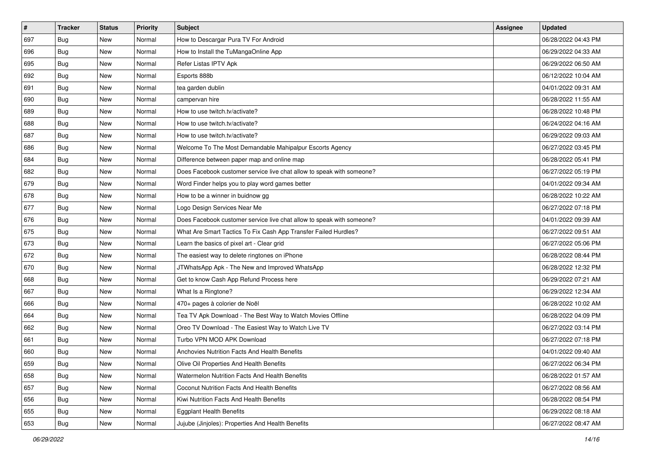| $\sharp$ | <b>Tracker</b> | <b>Status</b> | <b>Priority</b> | <b>Subject</b>                                                        | Assignee | <b>Updated</b>      |
|----------|----------------|---------------|-----------------|-----------------------------------------------------------------------|----------|---------------------|
| 697      | Bug            | New           | Normal          | How to Descargar Pura TV For Android                                  |          | 06/28/2022 04:43 PM |
| 696      | <b>Bug</b>     | New           | Normal          | How to Install the TuMangaOnline App                                  |          | 06/29/2022 04:33 AM |
| 695      | Bug            | New           | Normal          | Refer Listas IPTV Apk                                                 |          | 06/29/2022 06:50 AM |
| 692      | Bug            | New           | Normal          | Esports 888b                                                          |          | 06/12/2022 10:04 AM |
| 691      | Bug            | New           | Normal          | tea garden dublin                                                     |          | 04/01/2022 09:31 AM |
| 690      | <b>Bug</b>     | New           | Normal          | campervan hire                                                        |          | 06/28/2022 11:55 AM |
| 689      | Bug            | New           | Normal          | How to use twitch.tv/activate?                                        |          | 06/28/2022 10:48 PM |
| 688      | <b>Bug</b>     | New           | Normal          | How to use twitch.tv/activate?                                        |          | 06/24/2022 04:16 AM |
| 687      | <b>Bug</b>     | New           | Normal          | How to use twitch.tv/activate?                                        |          | 06/29/2022 09:03 AM |
| 686      | Bug            | New           | Normal          | Welcome To The Most Demandable Mahipalpur Escorts Agency              |          | 06/27/2022 03:45 PM |
| 684      | <b>Bug</b>     | New           | Normal          | Difference between paper map and online map                           |          | 06/28/2022 05:41 PM |
| 682      | Bug            | New           | Normal          | Does Facebook customer service live chat allow to speak with someone? |          | 06/27/2022 05:19 PM |
| 679      | Bug            | New           | Normal          | Word Finder helps you to play word games better                       |          | 04/01/2022 09:34 AM |
| 678      | Bug            | New           | Normal          | How to be a winner in buidnow gg                                      |          | 06/28/2022 10:22 AM |
| 677      | <b>Bug</b>     | New           | Normal          | Logo Design Services Near Me                                          |          | 06/27/2022 07:18 PM |
| 676      | Bug            | New           | Normal          | Does Facebook customer service live chat allow to speak with someone? |          | 04/01/2022 09:39 AM |
| 675      | <b>Bug</b>     | New           | Normal          | What Are Smart Tactics To Fix Cash App Transfer Failed Hurdles?       |          | 06/27/2022 09:51 AM |
| 673      | <b>Bug</b>     | New           | Normal          | Learn the basics of pixel art - Clear grid                            |          | 06/27/2022 05:06 PM |
| 672      | Bug            | New           | Normal          | The easiest way to delete ringtones on iPhone                         |          | 06/28/2022 08:44 PM |
| 670      | <b>Bug</b>     | New           | Normal          | JTWhatsApp Apk - The New and Improved WhatsApp                        |          | 06/28/2022 12:32 PM |
| 668      | Bug            | New           | Normal          | Get to know Cash App Refund Process here                              |          | 06/29/2022 07:21 AM |
| 667      | <b>Bug</b>     | New           | Normal          | What Is a Ringtone?                                                   |          | 06/29/2022 12:34 AM |
| 666      | Bug            | New           | Normal          | 470+ pages à colorier de Noël                                         |          | 06/28/2022 10:02 AM |
| 664      | <b>Bug</b>     | New           | Normal          | Tea TV Apk Download - The Best Way to Watch Movies Offline            |          | 06/28/2022 04:09 PM |
| 662      | Bug            | New           | Normal          | Oreo TV Download - The Easiest Way to Watch Live TV                   |          | 06/27/2022 03:14 PM |
| 661      | <b>Bug</b>     | New           | Normal          | Turbo VPN MOD APK Download                                            |          | 06/27/2022 07:18 PM |
| 660      | <b>Bug</b>     | New           | Normal          | Anchovies Nutrition Facts And Health Benefits                         |          | 04/01/2022 09:40 AM |
| 659      | i Bug          | New           | Normal          | Olive Oil Properties And Health Benefits                              |          | 06/27/2022 06:34 PM |
| 658      | Bug            | New           | Normal          | Watermelon Nutrition Facts And Health Benefits                        |          | 06/28/2022 01:57 AM |
| 657      | Bug            | New           | Normal          | Coconut Nutrition Facts And Health Benefits                           |          | 06/27/2022 08:56 AM |
| 656      | Bug            | New           | Normal          | Kiwi Nutrition Facts And Health Benefits                              |          | 06/28/2022 08:54 PM |
| 655      | Bug            | New           | Normal          | <b>Eggplant Health Benefits</b>                                       |          | 06/29/2022 08:18 AM |
| 653      | <b>Bug</b>     | New           | Normal          | Jujube (Jinjoles): Properties And Health Benefits                     |          | 06/27/2022 08:47 AM |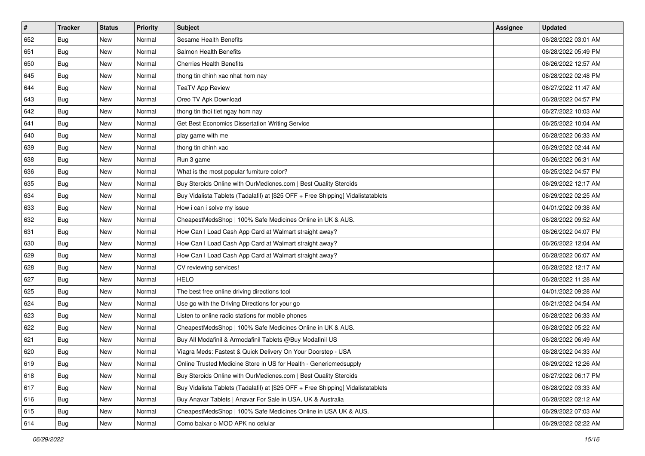| #   | <b>Tracker</b> | <b>Status</b> | <b>Priority</b> | Subject                                                                          | Assignee | <b>Updated</b>      |
|-----|----------------|---------------|-----------------|----------------------------------------------------------------------------------|----------|---------------------|
| 652 | <b>Bug</b>     | New           | Normal          | Sesame Health Benefits                                                           |          | 06/28/2022 03:01 AM |
| 651 | Bug            | New           | Normal          | Salmon Health Benefits                                                           |          | 06/28/2022 05:49 PM |
| 650 | Bug            | New           | Normal          | <b>Cherries Health Benefits</b>                                                  |          | 06/26/2022 12:57 AM |
| 645 | <b>Bug</b>     | New           | Normal          | thong tin chinh xac nhat hom nay                                                 |          | 06/28/2022 02:48 PM |
| 644 | Bug            | New           | Normal          | <b>TeaTV App Review</b>                                                          |          | 06/27/2022 11:47 AM |
| 643 | Bug            | New           | Normal          | Oreo TV Apk Download                                                             |          | 06/28/2022 04:57 PM |
| 642 | Bug            | New           | Normal          | thong tin thoi tiet ngay hom nay                                                 |          | 06/27/2022 10:03 AM |
| 641 | Bug            | New           | Normal          | Get Best Economics Dissertation Writing Service                                  |          | 06/25/2022 10:04 AM |
| 640 | Bug            | New           | Normal          | play game with me                                                                |          | 06/28/2022 06:33 AM |
| 639 | Bug            | New           | Normal          | thong tin chinh xac                                                              |          | 06/29/2022 02:44 AM |
| 638 | <b>Bug</b>     | New           | Normal          | Run 3 game                                                                       |          | 06/26/2022 06:31 AM |
| 636 | Bug            | New           | Normal          | What is the most popular furniture color?                                        |          | 06/25/2022 04:57 PM |
| 635 | Bug            | New           | Normal          | Buy Steroids Online with OurMedicnes.com   Best Quality Steroids                 |          | 06/29/2022 12:17 AM |
| 634 | Bug            | New           | Normal          | Buy Vidalista Tablets (Tadalafil) at [\$25 OFF + Free Shipping] Vidalistatablets |          | 06/29/2022 02:25 AM |
| 633 | <b>Bug</b>     | New           | Normal          | How i can i solve my issue                                                       |          | 04/01/2022 09:38 AM |
| 632 | Bug            | New           | Normal          | CheapestMedsShop   100% Safe Medicines Online in UK & AUS.                       |          | 06/28/2022 09:52 AM |
| 631 | <b>Bug</b>     | New           | Normal          | How Can I Load Cash App Card at Walmart straight away?                           |          | 06/26/2022 04:07 PM |
| 630 | Bug            | New           | Normal          | How Can I Load Cash App Card at Walmart straight away?                           |          | 06/26/2022 12:04 AM |
| 629 | <b>Bug</b>     | New           | Normal          | How Can I Load Cash App Card at Walmart straight away?                           |          | 06/28/2022 06:07 AM |
| 628 | <b>Bug</b>     | New           | Normal          | CV reviewing services!                                                           |          | 06/28/2022 12:17 AM |
| 627 | <b>Bug</b>     | New           | Normal          | <b>HELO</b>                                                                      |          | 06/28/2022 11:28 AM |
| 625 | <b>Bug</b>     | New           | Normal          | The best free online driving directions tool                                     |          | 04/01/2022 09:28 AM |
| 624 | Bug            | New           | Normal          | Use go with the Driving Directions for your go                                   |          | 06/21/2022 04:54 AM |
| 623 | <b>Bug</b>     | New           | Normal          | Listen to online radio stations for mobile phones                                |          | 06/28/2022 06:33 AM |
| 622 | Bug            | New           | Normal          | CheapestMedsShop   100% Safe Medicines Online in UK & AUS.                       |          | 06/28/2022 05:22 AM |
| 621 | Bug            | New           | Normal          | Buy All Modafinil & Armodafinil Tablets @Buy Modafinil US                        |          | 06/28/2022 06:49 AM |
| 620 | <b>Bug</b>     | New           | Normal          | Viagra Meds: Fastest & Quick Delivery On Your Doorstep - USA                     |          | 06/28/2022 04:33 AM |
| 619 | Bug            | New           | Normal          | Online Trusted Medicine Store in US for Health - Genericmedsupply                |          | 06/29/2022 12:26 AM |
| 618 | Bug            | New           | Normal          | Buy Steroids Online with OurMedicnes.com   Best Quality Steroids                 |          | 06/27/2022 06:17 PM |
| 617 | Bug            | New           | Normal          | Buy Vidalista Tablets (Tadalafil) at [\$25 OFF + Free Shipping] Vidalistatablets |          | 06/28/2022 03:33 AM |
| 616 | <b>Bug</b>     | New           | Normal          | Buy Anavar Tablets   Anavar For Sale in USA, UK & Australia                      |          | 06/28/2022 02:12 AM |
| 615 | <b>Bug</b>     | New           | Normal          | CheapestMedsShop   100% Safe Medicines Online in USA UK & AUS.                   |          | 06/29/2022 07:03 AM |
| 614 | <b>Bug</b>     | New           | Normal          | Como baixar o MOD APK no celular                                                 |          | 06/29/2022 02:22 AM |